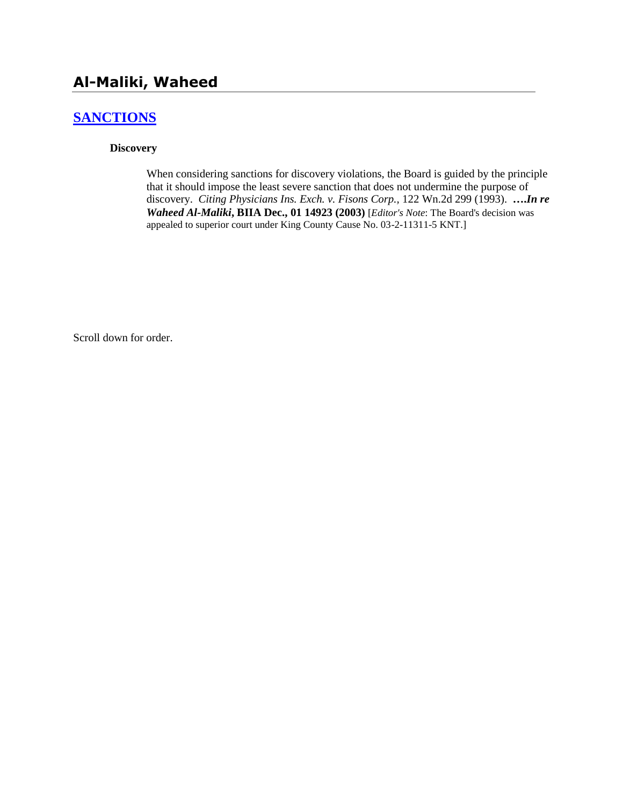# **Al-Maliki, Waheed**

## **[SANCTIONS](http://www.biia.wa.gov/SDSubjectIndex.html#SANCTIONS)**

#### **Discovery**

When considering sanctions for discovery violations, the Board is guided by the principle that it should impose the least severe sanction that does not undermine the purpose of discovery. *Citing Physicians Ins. Exch. v. Fisons Corp.,* 122 Wn.2d 299 (1993). **….***In re Waheed Al-Maliki***, BIIA Dec., 01 14923 (2003)** [*Editor's Note*: The Board's decision was appealed to superior court under King County Cause No. 03-2-11311-5 KNT.]

Scroll down for order.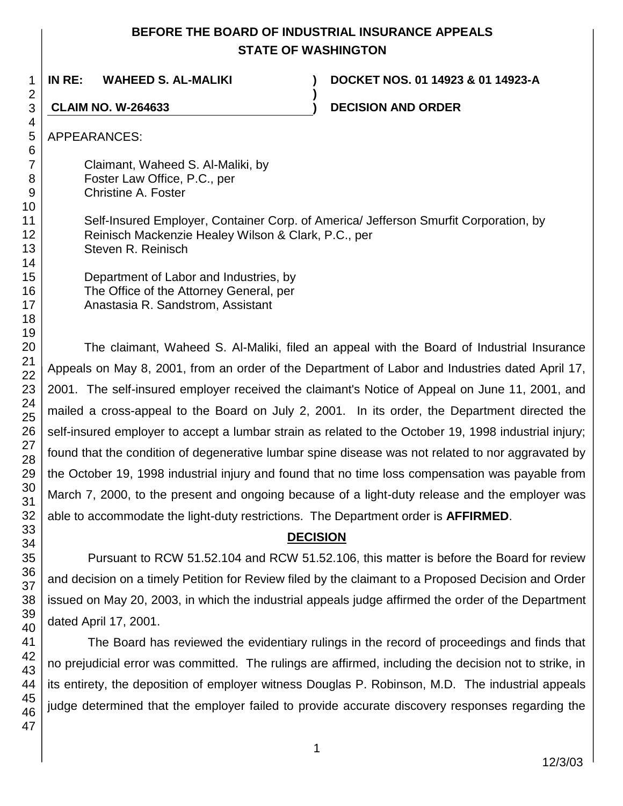## **BEFORE THE BOARD OF INDUSTRIAL INSURANCE APPEALS STATE OF WASHINGTON**

**)**

**IN RE: WAHEED S. AL-MALIKI ) DOCKET NOS. 01 14923 & 01 14923-A**

**CLAIM NO. W-264633 ) DECISION AND ORDER**

APPEARANCES:

Claimant, Waheed S. Al-Maliki, by Foster Law Office, P.C., per Christine A. Foster

Self-Insured Employer, Container Corp. of America/ Jefferson Smurfit Corporation, by Reinisch Mackenzie Healey Wilson & Clark, P.C., per Steven R. Reinisch

Department of Labor and Industries, by The Office of the Attorney General, per Anastasia R. Sandstrom, Assistant

The claimant, Waheed S. Al-Maliki, filed an appeal with the Board of Industrial Insurance Appeals on May 8, 2001, from an order of the Department of Labor and Industries dated April 17, 2001. The self-insured employer received the claimant's Notice of Appeal on June 11, 2001, and mailed a cross-appeal to the Board on July 2, 2001. In its order, the Department directed the self-insured employer to accept a lumbar strain as related to the October 19, 1998 industrial injury; found that the condition of degenerative lumbar spine disease was not related to nor aggravated by the October 19, 1998 industrial injury and found that no time loss compensation was payable from March 7, 2000, to the present and ongoing because of a light-duty release and the employer was able to accommodate the light-duty restrictions. The Department order is **AFFIRMED**.

## **DECISION**

Pursuant to RCW 51.52.104 and RCW 51.52.106, this matter is before the Board for review and decision on a timely Petition for Review filed by the claimant to a Proposed Decision and Order issued on May 20, 2003, in which the industrial appeals judge affirmed the order of the Department dated April 17, 2001.

The Board has reviewed the evidentiary rulings in the record of proceedings and finds that no prejudicial error was committed. The rulings are affirmed, including the decision not to strike, in its entirety, the deposition of employer witness Douglas P. Robinson, M.D. The industrial appeals judge determined that the employer failed to provide accurate discovery responses regarding the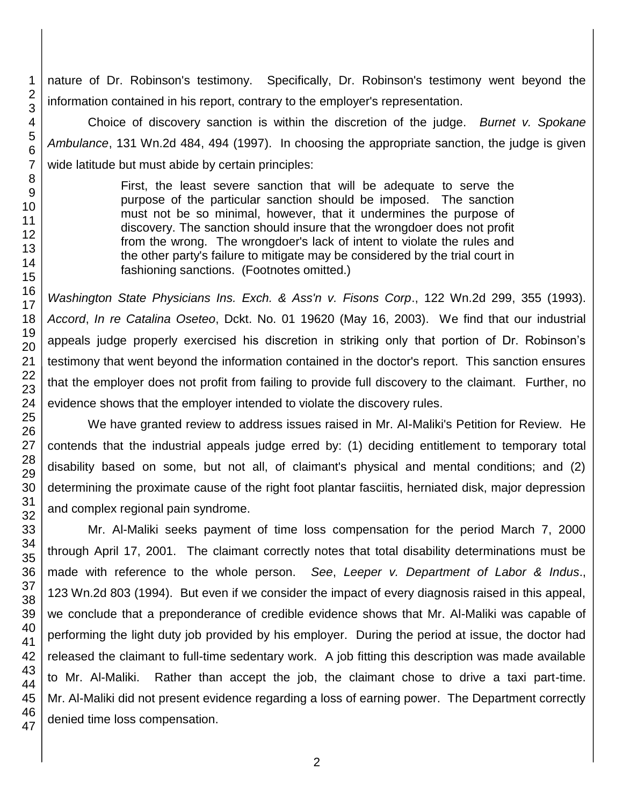nature of Dr. Robinson's testimony. Specifically, Dr. Robinson's testimony went beyond the information contained in his report, contrary to the employer's representation.

Choice of discovery sanction is within the discretion of the judge. *Burnet v. Spokane Ambulance*, 131 Wn.2d 484, 494 (1997). In choosing the appropriate sanction, the judge is given wide latitude but must abide by certain principles:

> First, the least severe sanction that will be adequate to serve the purpose of the particular sanction should be imposed. The sanction must not be so minimal, however, that it undermines the purpose of discovery. The sanction should insure that the wrongdoer does not profit from the wrong. The wrongdoer's lack of intent to violate the rules and the other party's failure to mitigate may be considered by the trial court in fashioning sanctions. (Footnotes omitted.)

*Washington State Physicians Ins. Exch. & Ass'n v. Fisons Corp*., 122 Wn.2d 299, 355 (1993). *Accord*, *In re Catalina Oseteo*, Dckt. No. 01 19620 (May 16, 2003). We find that our industrial appeals judge properly exercised his discretion in striking only that portion of Dr. Robinson's testimony that went beyond the information contained in the doctor's report. This sanction ensures that the employer does not profit from failing to provide full discovery to the claimant. Further, no evidence shows that the employer intended to violate the discovery rules.

We have granted review to address issues raised in Mr. Al-Maliki's Petition for Review. He contends that the industrial appeals judge erred by: (1) deciding entitlement to temporary total disability based on some, but not all, of claimant's physical and mental conditions; and (2) determining the proximate cause of the right foot plantar fasciitis, herniated disk, major depression and complex regional pain syndrome.

Mr. Al-Maliki seeks payment of time loss compensation for the period March 7, 2000 through April 17, 2001. The claimant correctly notes that total disability determinations must be made with reference to the whole person. *See*, *Leeper v. Department of Labor & Indus*., Wn.2d 803 (1994). But even if we consider the impact of every diagnosis raised in this appeal, we conclude that a preponderance of credible evidence shows that Mr. Al-Maliki was capable of performing the light duty job provided by his employer. During the period at issue, the doctor had released the claimant to full-time sedentary work. A job fitting this description was made available to Mr. Al-Maliki. Rather than accept the job, the claimant chose to drive a taxi part-time. Mr. Al-Maliki did not present evidence regarding a loss of earning power. The Department correctly denied time loss compensation.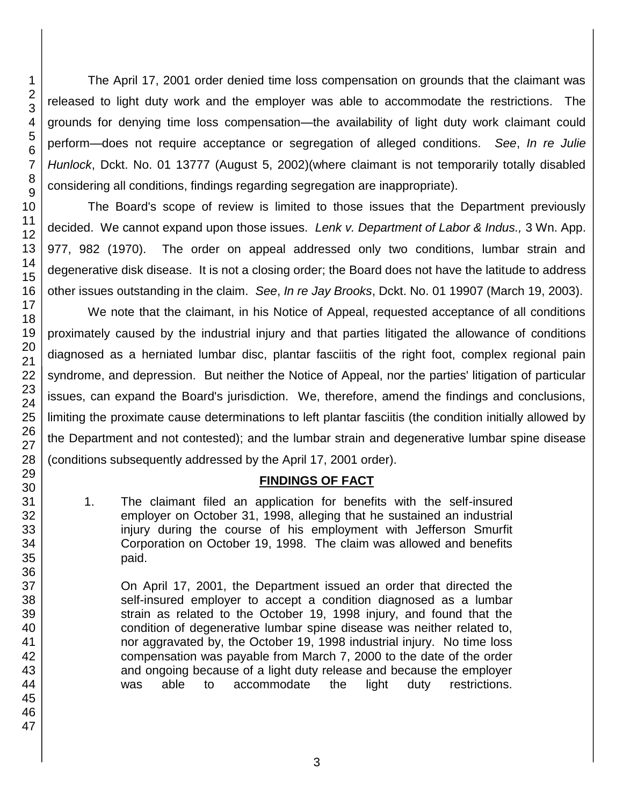The April 17, 2001 order denied time loss compensation on grounds that the claimant was released to light duty work and the employer was able to accommodate the restrictions. The grounds for denying time loss compensation—the availability of light duty work claimant could perform—does not require acceptance or segregation of alleged conditions. *See*, *In re Julie Hunlock*, Dckt. No. 01 13777 (August 5, 2002)(where claimant is not temporarily totally disabled considering all conditions, findings regarding segregation are inappropriate).

The Board's scope of review is limited to those issues that the Department previously decided. We cannot expand upon those issues. *Lenk v. Department of Labor & Indus.,* 3 Wn. App. 977, 982 (1970). The order on appeal addressed only two conditions, lumbar strain and degenerative disk disease. It is not a closing order; the Board does not have the latitude to address other issues outstanding in the claim. *See*, *In re Jay Brooks*, Dckt. No. 01 19907 (March 19, 2003).

We note that the claimant, in his Notice of Appeal, requested acceptance of all conditions proximately caused by the industrial injury and that parties litigated the allowance of conditions diagnosed as a herniated lumbar disc, plantar fasciitis of the right foot, complex regional pain syndrome, and depression. But neither the Notice of Appeal, nor the parties' litigation of particular issues, can expand the Board's jurisdiction. We, therefore, amend the findings and conclusions, limiting the proximate cause determinations to left plantar fasciitis (the condition initially allowed by the Department and not contested); and the lumbar strain and degenerative lumbar spine disease (conditions subsequently addressed by the April 17, 2001 order).

## **FINDINGS OF FACT**

1. The claimant filed an application for benefits with the self-insured employer on October 31, 1998, alleging that he sustained an industrial injury during the course of his employment with Jefferson Smurfit Corporation on October 19, 1998. The claim was allowed and benefits paid.

On April 17, 2001, the Department issued an order that directed the self-insured employer to accept a condition diagnosed as a lumbar strain as related to the October 19, 1998 injury, and found that the condition of degenerative lumbar spine disease was neither related to, nor aggravated by, the October 19, 1998 industrial injury. No time loss compensation was payable from March 7, 2000 to the date of the order and ongoing because of a light duty release and because the employer was able to accommodate the light duty restrictions.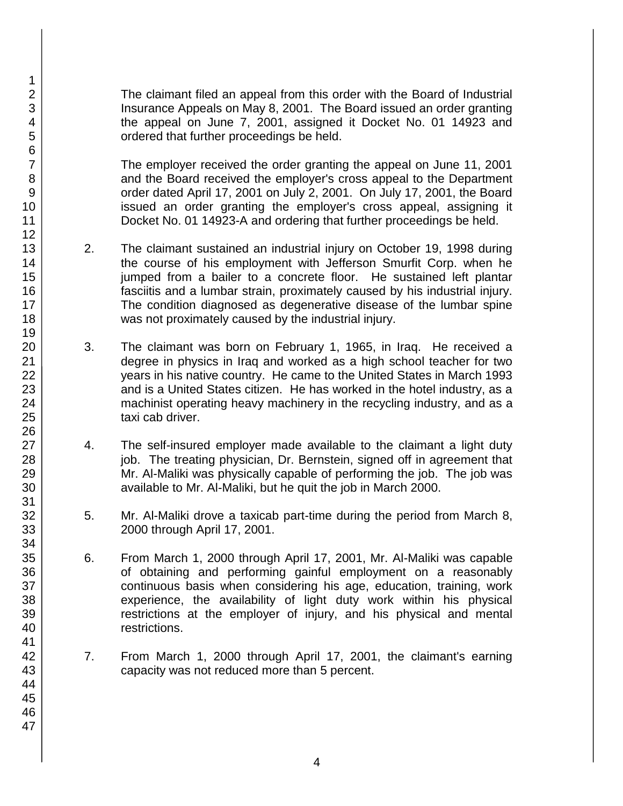The claimant filed an appeal from this order with the Board of Industrial Insurance Appeals on May 8, 2001. The Board issued an order granting the appeal on June 7, 2001, assigned it Docket No. 01 14923 and ordered that further proceedings be held.

The employer received the order granting the appeal on June 11, 2001 and the Board received the employer's cross appeal to the Department order dated April 17, 2001 on July 2, 2001. On July 17, 2001, the Board issued an order granting the employer's cross appeal, assigning it Docket No. 01 14923-A and ordering that further proceedings be held.

- 2. The claimant sustained an industrial injury on October 19, 1998 during the course of his employment with Jefferson Smurfit Corp. when he jumped from a bailer to a concrete floor. He sustained left plantar fasciitis and a lumbar strain, proximately caused by his industrial injury. The condition diagnosed as degenerative disease of the lumbar spine was not proximately caused by the industrial injury.
- 3. The claimant was born on February 1, 1965, in Iraq. He received a degree in physics in Iraq and worked as a high school teacher for two years in his native country. He came to the United States in March 1993 and is a United States citizen. He has worked in the hotel industry, as a machinist operating heavy machinery in the recycling industry, and as a taxi cab driver.
- 4. The self-insured employer made available to the claimant a light duty job. The treating physician, Dr. Bernstein, signed off in agreement that Mr. Al-Maliki was physically capable of performing the job. The job was available to Mr. Al-Maliki, but he quit the job in March 2000.
- 5. Mr. Al-Maliki drove a taxicab part-time during the period from March 8, 2000 through April 17, 2001.
- 6. From March 1, 2000 through April 17, 2001, Mr. Al-Maliki was capable of obtaining and performing gainful employment on a reasonably continuous basis when considering his age, education, training, work experience, the availability of light duty work within his physical restrictions at the employer of injury, and his physical and mental restrictions.
- 7. From March 1, 2000 through April 17, 2001, the claimant's earning capacity was not reduced more than 5 percent.

1